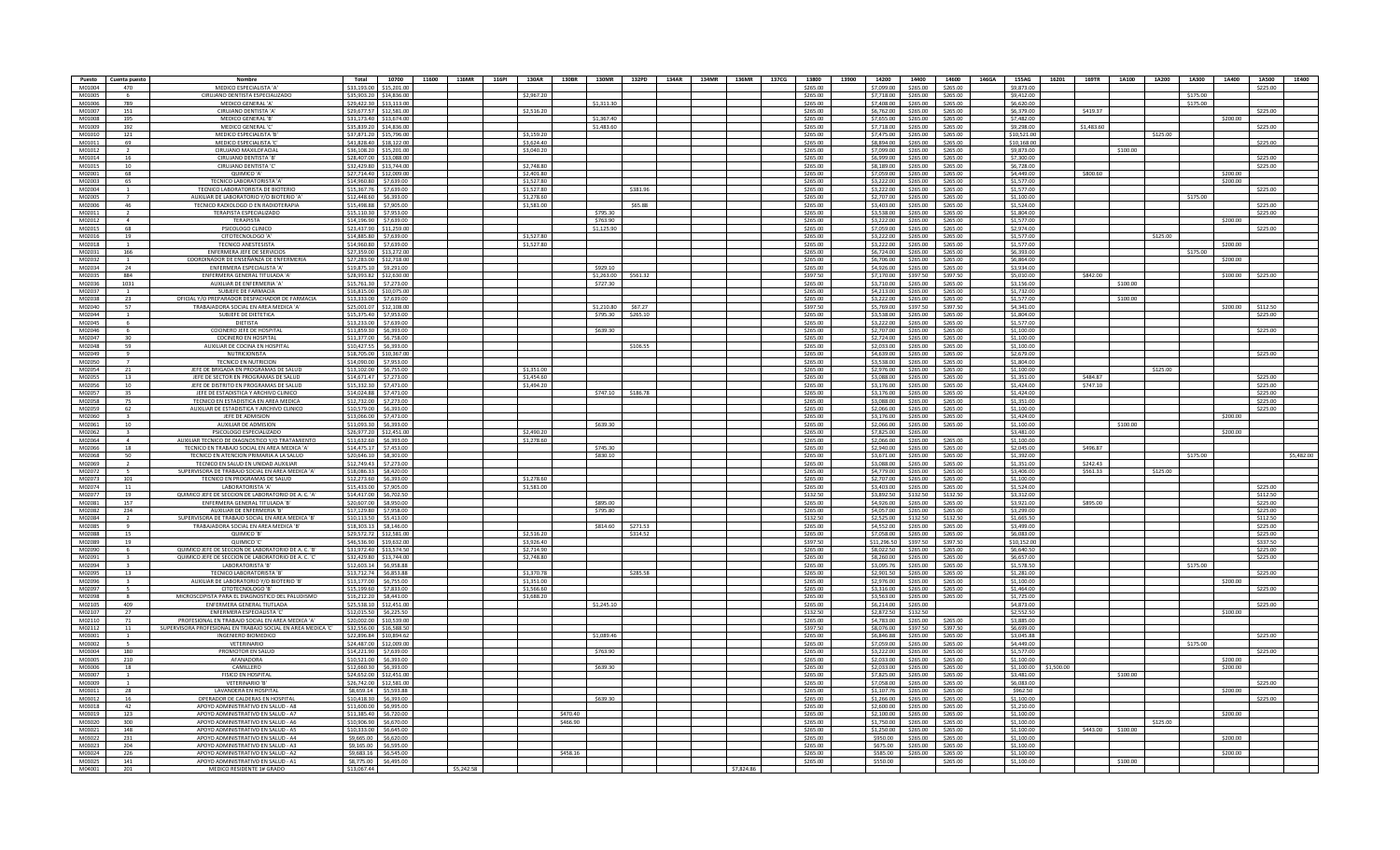| Puesto           | Cuenta puesto            | Nombre                                                          | Total       | 10700                                              | 11600      | 116MR 116PI |                          | 130AR 130BR<br>130MR | 132PD    | 134AR 134MR 136MR 137CG |            | 13800                | 13900 |                                            | 14200 14400          | 14600                | 146GA 155AG              | 16201      | 169TR 1A100 1A200 |          | 1A300    | 1A400             | 1A500    | 1E400      |
|------------------|--------------------------|-----------------------------------------------------------------|-------------|----------------------------------------------------|------------|-------------|--------------------------|----------------------|----------|-------------------------|------------|----------------------|-------|--------------------------------------------|----------------------|----------------------|--------------------------|------------|-------------------|----------|----------|-------------------|----------|------------|
| M01004           | 470                      | MEDICO ESPECIALISTA 'A'                                         |             | \$33,193.00 \$15,201.00                            |            |             |                          |                      |          |                         |            | \$265.00             |       | \$7,099.00 \$265.00                        |                      | \$265.00             | \$9,873.00               |            |                   |          |          |                   | \$225.00 |            |
| M01005           |                          | CIRUJANO DENTISTA ESPECIALIZADO                                 |             | \$35,903.20 \$14,836.00                            |            |             | \$2,967.20               |                      |          |                         |            | \$265.00             |       | 7.718.00                                   | \$265.00             | \$265.00             | \$9,412.00               |            |                   |          | \$175.00 |                   |          |            |
| M01006           | 789                      | MEDICO GENERAL 'A'                                              |             | \$29,422.30 \$13,113.00                            |            |             |                          | \$1,311.30           |          |                         |            | \$265.00             |       | \$7,408.00 \$265.00                        |                      | \$265.00             | \$6,620.00               |            |                   |          | \$175.00 |                   |          |            |
| M01007           | 151                      | CIRUJANO DENTISTA 'A'                                           |             | \$29,677.57 \$12,581.00                            |            |             | \$2,516.20               |                      |          |                         |            | \$265.00             |       | \$6,762.00 \$265.00                        |                      | \$265.00             | \$6,379.00               |            | \$419.37          |          |          |                   | \$225.00 |            |
| M01008           | 195                      | MEDICO GENERAL 'B'                                              |             | \$31,173.40 \$13,674.00                            |            |             |                          | \$1,367.40           |          |                         |            | \$265.00             |       | \$7,655.00                                 | \$265.00             | \$265.00             | \$7,482.00               |            |                   |          |          | \$200.00          |          |            |
| M01009           | 192                      | MEDICO GENERAL 'C                                               |             | \$35,839,20 \$14,836.00                            |            |             |                          | \$1,483.60           |          |                         |            | \$265.00             |       | \$7,718.00 \$265.00                        |                      | \$265.00             | \$9,298.00               |            | \$1,483.60        |          |          |                   | \$225.00 |            |
| M01010           | 121                      | MEDICO ESPECIALISTA 'B                                          |             | \$37,871.20 \$15,796.00                            |            |             | \$3,159.20               |                      |          |                         |            | \$265.00             |       | \$7,475.00 \$265.00                        |                      | \$265.00             | \$10,521.00              |            |                   | \$125.00 |          |                   |          |            |
| M01011           | 69                       | MEDICO ESPECIALISTA 'C                                          |             | \$41,828.40 \$18,122.00                            |            |             | \$3,624.40               |                      |          |                         |            | \$265.00             |       | \$8,894.00 \$265.00                        |                      | \$265.00             | \$10,168.00              |            |                   |          |          |                   | \$225.00 |            |
| M01012           |                          | CIRUIANO MAXILOFACIAL                                           |             | \$36,108.20 \$15,201.00                            |            |             | \$3,040.20               |                      |          |                         |            | \$265.00             |       | \$7,099.00 \$265.00                        |                      | \$265.00             | \$9,873,00               |            | \$100.00          |          |          |                   |          |            |
| M01014           | 16                       | CIRUJANO DENTISTA 'B'                                           |             | \$28,407.00 \$13,088.00                            |            |             |                          |                      |          |                         |            | \$265.00             |       | \$6,999.00 \$265.00                        |                      | \$265.00             | \$7,300.00               |            |                   |          |          |                   | \$225.00 |            |
| M01015<br>M02001 | 10<br>68                 | CIRUJANO DENTISTA 'C<br>OUIMICO 'A'                             |             | \$32,429.80 \$13,744.00<br>\$27,714.40 \$12,009.00 |            |             | \$2,748.80<br>\$2,401.80 |                      |          |                         |            | \$265.00<br>\$265.00 |       | \$8,189.00<br>\$7,059.00                   | \$265.00<br>\$265.00 | \$265.00<br>\$265.00 | \$6,728.00<br>\$4,449.00 |            | \$800.60          |          |          | \$200.00          | \$225.00 |            |
| M02003           | 65                       | TECNICO LABORATORISTA 'A'                                       |             | \$14,960.80 \$7,639.00                             |            |             | \$1,527.80               |                      |          |                         |            | \$265.00             |       | \$3,222.00 \$265.00                        |                      | \$265.00             | \$1,577.00               |            |                   |          |          | \$200.00          |          |            |
| M02004           |                          | TECNICO LABORATORISTA DE BIOTERIO                               |             | \$15,367,76 \$7,639,00                             |            |             | \$1,527.80               |                      | \$381.96 |                         |            | \$265.00             |       | \$3,222,00 \$265,00                        |                      | \$265.00             | \$1,577.00               |            |                   |          |          |                   | \$225.00 |            |
| M02005           | $\overline{7}$           | AUXILIAR DE LABORATORIO Y/O BIOTERIO 'A'                        |             | \$12,448,60 \$6,393,00                             |            |             | \$1,278.60               |                      |          |                         |            | \$265.00             |       | \$2,707.00                                 | \$265.00             | \$265.00             | \$1,100.00               |            |                   |          | \$175.00 |                   |          |            |
| M02006           | 46                       | TECNICO RADIOLOGO O EN RADIOTERAPIA                             |             | \$15,498.88 \$7,905.00                             |            |             | \$1,581.00               |                      | \$65.88  |                         |            | \$265.00             |       | \$3,403.00 \$265.00                        |                      | \$265.00             | \$1,524.00               |            |                   |          |          |                   | \$225.00 |            |
| M02011           |                          | <b>TERAPISTA ESPECIALIZADO</b>                                  |             | \$15,110,30 \$7,953,00                             |            |             |                          | \$795.30             |          |                         |            | \$265.00             |       | \$3,538.00                                 | \$265.00             | \$265.00             | \$1,804.00               |            |                   |          |          |                   | \$225.00 |            |
| M02012           | $\overline{a}$           | <b>TFRAPISTA</b>                                                |             | \$14,196.90 \$7,639.00                             |            |             |                          | \$763.90             |          |                         |            | \$265.00             |       | \$3,222.00                                 | \$265.00             | \$265.00             | \$1,577.00               |            |                   |          |          | \$200.00          |          |            |
| M02015           | 68                       | PSICOLOGO CLINICO                                               |             | \$23,437.90 \$11,259.00                            |            |             |                          | \$1,125.90           |          |                         |            | \$265.00             |       | \$7,059.00 \$265.00                        |                      | \$265.00             | \$2,974.00               |            |                   |          |          |                   | \$225.00 |            |
| M02016           | 19                       | CITOTECNOLOGO 'A                                                |             | \$14,885,80 \$7,639,00                             |            |             | \$1,527.80               |                      |          |                         |            | \$265.00             |       | \$3.222.00                                 | \$265.00             | \$265.00             | \$1,577.00               |            |                   | \$125.00 |          |                   |          |            |
| M02018           |                          | TECNICO ANESTESISTA                                             |             | \$14,960.80 \$7,639.00                             |            |             | \$1,527.80               |                      |          |                         |            | \$265.00             |       | \$3,222,00 \$265,00                        |                      | \$265.00             | \$1,577.00               |            |                   |          |          | \$200.00          |          |            |
| M02031           | 166                      | <b>ENFERMERA JEFE DE SERVICIOS</b>                              |             | \$27,359.00 \$13,272.00                            |            |             |                          |                      |          |                         |            | \$265.00             |       | \$6,724.00 \$265.00                        |                      | \$265.00             | \$6,393,00               |            |                   |          | \$175.00 |                   |          |            |
| M02032           |                          | COORDINADOR DE ENSEÑANZA DE ENFERMERIA                          |             | \$27.283.00 \$12.718.00                            |            |             |                          |                      |          |                         |            | \$265.00             |       | \$6,706.00                                 | \$265.00             | \$265.00             | \$6,864.00               |            |                   |          |          | \$200.00          |          |            |
| M02034           | 24                       | ENFERMERA ESPECIALISTA 'A'                                      |             | \$19,875.10 \$9,291.00                             |            |             |                          | \$929.10             |          |                         |            | \$265.00             |       | \$4,926.00                                 | \$265.00             | \$265.00             | \$3,934.00               |            |                   |          |          |                   |          |            |
| M02035           | 884                      | ENFERMERA GENERAL TITULADA 'A                                   |             | \$28,993.82 \$12,630.00                            |            |             |                          | \$1,263,00           | \$561.32 |                         |            | \$397.50             |       | \$7,170.00 \$397.50                        |                      | \$397.50             | \$5,010.00               |            | \$842.00          |          |          | \$100.00 \$225.00 |          |            |
| M02036           | 1031                     | AUXILIAR DE ENFERMERIA 'A'                                      |             | \$15,761.30 \$7,273.00                             |            |             |                          | \$727.30             |          |                         |            | \$265.00             |       | \$3,710.00 \$265.00                        |                      | \$265.00             | \$3,156.00               |            | \$100.00          |          |          |                   |          |            |
| M02037           |                          | SUBJEFE DE FARMACIA                                             |             | \$16,815.00 \$10,075.00                            |            |             |                          |                      |          |                         |            | \$265.00             |       | \$4,213.00                                 | \$265.00             | \$265.00             | \$1,732.00               |            |                   |          |          |                   |          |            |
| M02038           | 23                       | OFICIAL Y/O PREPARADOR DESPACHADOR DE FARMACIA                  |             | \$13,333,00 \$7,639,00                             |            |             |                          |                      |          |                         |            | \$265.00             |       | \$3,222,00 \$265,00                        |                      | \$265.00             | \$1,577.00               |            | \$100.00          |          |          |                   |          |            |
| M02040           | 57                       | TRABAJADORA SOCIAL EN AREA MEDICA 'A'                           |             | \$25,001.07 \$12,108.00                            |            |             |                          | \$1,210.80           | \$67.27  |                         |            | \$397.50             |       | \$5,769.00 \$397.50                        |                      | \$397.50             | \$4,341.00               |            |                   |          |          | \$200.00          | \$112.50 |            |
| M02044           |                          | SUBJEFE DE DIETETICA                                            |             | \$15,375.40 \$7,953.00                             |            |             |                          | \$795.30             | \$265.10 |                         |            | \$265.00             |       | \$3,538.00                                 | \$265.00             | \$265.00             | \$1,804.00               |            |                   |          |          |                   | \$225.00 |            |
| M02045           | - 6                      | DIETISTA                                                        |             | \$13,233,00 \$7,639.00                             |            |             |                          |                      |          |                         |            | \$265.00             |       | \$3,222,00 \$265,00                        |                      | \$265.00             | \$1,577.00               |            |                   |          |          |                   |          |            |
| M02046           |                          | COCINERO JEFE DE HOSPITAL                                       |             | \$11,859.30 \$6,393.00                             |            |             |                          | \$639.30             |          |                         |            | \$265.00             |       | \$2,707.00 \$265.00                        |                      | \$265.00             | \$1,100.00               |            |                   |          |          |                   | \$225.00 |            |
| M02047           | 30                       | <b>COCINERO EN HOSPITAL</b>                                     |             | \$11,377.00 \$6,758.00                             |            |             |                          |                      |          |                         |            | \$265.00             |       | \$2,724.00                                 | \$265.00             | \$265.00             | \$1,100.00               |            |                   |          |          |                   |          |            |
| M02048           | 59                       | AUXILIAR DE COCINA EN HOSPITA                                   |             | \$10,427.55 \$6,393.00                             |            |             |                          |                      | \$106.55 |                         |            | \$265.00             |       | \$2,033,00                                 | \$265.00             | \$265.00             | \$1,100.00               |            |                   |          |          |                   |          |            |
| M02049           | $\mathbf{q}$             | NUTRICIONISTA                                                   |             | \$18,705.00 \$10,367.00                            |            |             |                          |                      |          |                         |            | \$265.00             |       | \$4,639.00                                 | \$265.00             | \$265.00             | \$2,679.00               |            |                   |          |          |                   | \$225.00 |            |
| M02050           |                          | <b>TECNICO EN NUTRICION</b>                                     |             | \$14,090,00 \$7,953,00                             |            |             |                          |                      |          |                         |            | \$265.00             |       | \$3,538.00                                 | \$265.00             | \$265.00             | \$1,804.00               |            |                   |          |          |                   |          |            |
| M02054           | 21                       | JEFE DE BRIGADA EN PROGRAMAS DE SALUD                           |             | \$13,102.00 \$6,755.00                             |            |             | \$1,351.00               |                      |          |                         |            | \$265.00             |       | \$2,976.00 \$265.00                        |                      | \$265.00             | \$1,100.00               |            |                   | \$125.00 |          |                   |          |            |
| M02055           | 13                       | JEFE DE SECTOR EN PROGRAMAS DE SALUD                            |             | \$14,671.47 \$7,273.00                             |            |             | \$1,454.60               |                      |          |                         |            | \$265.00             |       | \$3,088.00 \$265.00                        |                      | \$265.00             | \$1,351.00               |            | \$484.87          |          |          |                   | \$225.00 |            |
| M02056           | 10                       | JEFE DE DISTRITO EN PROGRAMAS DE SALUD                          |             | \$15.332.30 \$7.471.00                             |            |             | \$1.494.20               |                      |          |                         |            | \$265.00             |       | \$3,176.00                                 | \$265.00             | \$265.00             | \$1,424.00               |            | \$747.10          |          |          |                   | \$225.00 |            |
| M02057           | 35                       | JEFE DE ESTADISTICA Y ARCHIVO CLINICO                           |             | \$14,024.88 \$7,471.00                             |            |             |                          | \$747.10             | \$186.78 |                         |            | \$265.00             |       | \$3,176,00                                 | \$265.00             | \$265.00             | \$1,424.00               |            |                   |          |          |                   | \$225.00 |            |
| <b>M02058</b>    | 75                       | TECNICO EN ESTADISTICA EN AREA MEDICA                           |             | \$12,732.00 \$7,273.00                             |            |             |                          |                      |          |                         |            | 5265.00              |       | \$3,088,00 \$265,00                        |                      | \$265.00             | \$1,351.00               |            |                   |          |          |                   | \$225.00 |            |
| M02059           | 62                       | AUXILIAR DE ESTADISTICA Y ARCHIVO CLINICO                       | \$10,579.00 | \$6,393.00                                         |            |             |                          |                      |          |                         |            | \$265.00             |       | \$2,066.00                                 | \$265.00             | \$265.00             | \$1,100.00               |            |                   |          |          |                   | \$225.00 |            |
| M02060           | $\mathbf{R}$             | JEFE DE ADMISION                                                |             | \$13,066,00 \$7,471,00                             |            |             |                          |                      |          |                         |            | \$265.00             |       | \$3,176,00 \$265,00                        |                      | \$265.00             | \$1,424.00               |            |                   |          |          | \$200.00          |          |            |
| M02061           | $10\,$                   | AUXILIAR DE ADMISION                                            |             | \$11,093.30 \$6,393.00                             |            |             |                          | \$639.30             |          |                         |            | \$265.00             |       | \$2,066.00 \$265.00                        |                      | \$265.00             | \$1,100.00               |            | \$100.00          |          |          |                   |          |            |
| M02062           |                          | PSICOLOGO ESPECIALIZADO                                         |             | \$26.977.20 \$12.451.00                            |            |             | \$2.490.20               |                      |          |                         |            | \$265.00             |       | \$7,825.00                                 | \$265.00             |                      | \$3,481.00               |            |                   |          |          | \$200.00          |          |            |
| M02064           | $\overline{A}$           | AUXILIAR TECNICO DE DIAGNOSTICO Y/O TRATAMIENTO                 |             | \$11,632,60 \$6,393,00                             |            |             | \$1,278.60               |                      |          |                         |            | \$265.00             |       | \$2,066.00                                 | \$265.00             | \$265.00             | \$1,100.00               |            |                   |          |          |                   |          |            |
| M02066           | 18                       | TECNICO EN TRABAJO SOCIAL EN AREA MEDICA 'A'                    |             | \$14.475.17 \$7.453.00                             |            |             |                          | \$745.30             |          |                         |            | \$265.00             |       | \$2.940.00                                 | \$265.00             | \$265.00             | \$2,045.00               |            | \$496.87          |          |          |                   |          |            |
| M02068           | 50                       | TECNICO EN ATENCION PRIMARIA A LA SALUD                         |             | \$20,646.10 \$8.301.00                             |            |             |                          | \$830.10             |          |                         |            | \$265.00             |       | \$3,671.00                                 | \$265.00             | \$265.00             | \$1,392.00               |            |                   |          | \$175.00 |                   |          | \$5,482.00 |
| M02069           | $\overline{\phantom{a}}$ | TECNICO EN SALUD EN UNIDAD AUXILIAR                             |             | \$12,749.43 \$7,273.00                             |            |             |                          |                      |          |                         |            | \$265.00             |       | \$3,088.00 \$265.00                        |                      | \$265.00             | \$1,351.00               |            | \$242.43          |          |          |                   |          |            |
| M02072<br>M02073 |                          | SUPERVISORA DE TRABAJO SOCIAL EN AREA MEDICA 'A'                |             | \$18,086.33 \$8,420.00                             |            |             | \$1,278.60               |                      |          |                         |            | \$265.00             |       | \$4,779.00 \$265.00<br>\$2,707.00 \$265.00 |                      | \$265.00             | \$3,406.00<br>\$1,100.00 |            | \$561.33          | \$125.00 |          |                   |          |            |
|                  | 101<br>11                | TECNICO EN PROGRAMAS DE SALUD<br>LABORATORISTA 'A'              |             | \$12,273,60 \$6,393,00<br>\$15,433.00 \$7,905.00   |            |             |                          |                      |          |                         |            | \$265.00             |       |                                            |                      | \$265.00             | \$1,524.00               |            |                   |          |          |                   | \$225.00 |            |
| M02074<br>M02077 | 19                       | QUIMICO JEFE DE SECCION DE LABORATORIO DE A. C. 'A'             |             | \$14,417.00 \$6,702.50                             |            |             | \$1,581.00               |                      |          |                         |            | \$265.00<br>\$132.50 |       | \$3,403.00 \$265.00<br>\$3,892.50 \$132.50 |                      | \$265.00<br>\$132.50 | \$3,312.00               |            |                   |          |          |                   | \$112.50 |            |
| M02081           | 157                      | ENFERMERA GENERAL TITULADA 'B'                                  |             | \$20,607.00 \$8,950.00                             |            |             |                          | \$895.00             |          |                         |            | \$265.00             |       | \$4,926.00 \$265.00                        |                      | \$265.00             | \$3,921.00               |            | \$895.00          |          |          |                   | \$225.00 |            |
| M02082           | 234                      | AUXILIAR DE ENFERMERIA 'B'                                      |             | \$17,129.80 \$7,958.00                             |            |             |                          | \$795.80             |          |                         |            | \$265.00             |       | \$4,057.00                                 | \$265.00             | \$265.00             | \$3,299.00               |            |                   |          |          |                   | \$225.00 |            |
| M02084           |                          | SUPERVISORA DE TRABAJO SOCIAL EN AREA MEDICA 'B'                |             | \$10,113.50 \$5,413.00                             |            |             |                          |                      |          |                         |            | \$132.50             |       | \$2,525.00 \$132.50                        |                      | \$132.50             | \$1,665.50               |            |                   |          |          |                   | \$112.50 |            |
| M02085           |                          | TRABAJADORA SOCIAL EN AREA MEDICA 'B'                           |             | \$18,303.13 \$8,146.00                             |            |             |                          | \$814.60             | \$271.53 |                         |            | \$265.00             |       | \$4,552.00 \$265.00                        |                      | \$265.00             | \$3,499.00               |            |                   |          |          |                   | \$225.00 |            |
| M02088           | 15                       | QUIMICO 'B'                                                     |             | \$29,572.72 \$12,581.00                            |            |             | \$2,516.20               |                      | \$314.52 |                         |            | \$265.00             |       | \$7,058.00 \$265.00                        |                      | \$265.00             | \$6,083,00               |            |                   |          |          |                   | \$225.00 |            |
| M02089           | 19                       | QUIMICO 'C                                                      |             | \$46,536.90 \$19,632.00                            |            |             | \$3,926.40               |                      |          |                         |            | \$397.50             |       | \$11,296.50 \$397.50                       |                      | \$397.50             | \$10,152.00              |            |                   |          |          |                   | \$337.50 |            |
| M02090           | -6                       | OUIMICO IFFE DE SECCION DE LABORATORIO DE A. C. 'B'             |             | \$31,972.40 \$13,574.50                            |            |             | \$2,714.90               |                      |          |                         |            | \$265.00             |       | \$8,022.50                                 | \$265.00             | \$265.00             | \$6,640.50               |            |                   |          |          |                   | \$225.00 |            |
| M02091           | $\overline{z}$           | QUIMICO JEFE DE SECCION DE LABORATORIO DE A. C. 'C'             |             | \$32,429.80 \$13,744.00                            |            |             | \$2,748.80               |                      |          |                         |            | \$265.00             |       | \$8,260.00                                 | \$265.00             | \$265.00             | \$6,657.00               |            |                   |          |          |                   | \$225.00 |            |
| M02094           |                          | LABORATORISTA 'B'                                               |             | \$12,603.14 \$6,958.88                             |            |             |                          |                      |          |                         |            | \$265.00             |       | \$3,095.76 \$265.00                        |                      | \$265.00             | \$1,578.50               |            |                   |          | \$175.00 |                   |          |            |
| M02095           | 13                       | TECNICO LABORATORISTA 'B'                                       |             | \$13,712,74 \$6,853,88                             |            |             | \$1,370.78               |                      | \$285.58 |                         |            | \$265.00             |       | \$2,901.50 \$265.00                        |                      | \$265.00             | \$1,281.00               |            |                   |          |          |                   | \$225.00 |            |
| M02096           |                          | AUXILIAR DE LABORATORIO Y/O BIOTERIO 'B'                        |             | \$13,177.00 \$6,755.00                             |            |             | \$1,351.00               |                      |          |                         |            | \$265.00             |       | \$2,976.00                                 | \$265.00             | \$265.00             | \$1,100.00               |            |                   |          |          | \$200.00          |          |            |
| M02097           |                          | CITOTECNOLOGO 'B                                                |             | \$15,199.60 \$7,833.00                             |            |             | \$1,566.60               |                      |          |                         |            | \$265.00             |       | \$3,316.00 \$265.00                        |                      | \$265.00             | \$1,464.00               |            |                   |          |          |                   | \$225.00 |            |
| M02098           | $\mathbf{R}$             | MICROSCOPISTA PARA EL DIAGNOSTICO DEL PALUDISMO                 |             | \$16,212,20 \$8,441,00                             |            |             | \$1,688.20               |                      |          |                         |            | \$265.00             |       | \$3,563.00                                 | \$265.00             | \$265.00             | \$1,725.00               |            |                   |          |          |                   |          |            |
| M02105           | 409                      | ENFERMERA GENERAL TIUTLADA                                      |             | \$25,538.10 \$12,451.00                            |            |             |                          | \$1,245.10           |          |                         |            | \$265.00             |       | \$6,214.00                                 | \$265.00             |                      | \$4,873.00               |            |                   |          |          |                   | \$225.00 |            |
| M02107           | 27                       | ENFERMERA ESPECIALISTA 'C'                                      |             | \$12,015.50 \$6,225.50                             |            |             |                          |                      |          |                         |            | \$132.50             |       | \$2,872.50 \$132.50                        |                      |                      | \$2,552.50               |            |                   |          |          | \$100.00          |          |            |
| M02110           | 71                       | PROFESIONAL EN TRABAJO SOCIAL EN AREA MEDICA 'A'                |             | \$20,002.00 \$10,539.00                            |            |             |                          |                      |          |                         |            | \$265.00             |       | \$4,783.00 \$265.00                        |                      | \$265.00             | \$3,885.00               |            |                   |          |          |                   |          |            |
| M02112           | 11                       | SUPERVISORA PROFESIONAL EN TRABAJO SOCIAL EN AREA MEDICA 'C'    |             | \$32,556.00 \$16,588.50                            |            |             |                          |                      |          |                         |            | \$397.50             |       | \$8,076.00                                 | \$397.50             | \$397.50             | \$6,699.00               |            |                   |          |          |                   |          |            |
| M03001           |                          | INGENIERO BIOMEDICO                                             |             | \$22,896.84 \$10,894.62                            |            |             |                          | \$1,089.46           |          |                         |            | \$265.00             |       | \$6,846.88 \$265.00                        |                      | \$265.00             | \$3,045.88               |            |                   |          |          |                   | \$225.00 |            |
| M03002           |                          | VETERINARIO                                                     |             | \$24,487.00 \$12,009.00                            |            |             |                          |                      |          |                         |            | \$265.00             |       | \$7,059.00 \$265.00                        |                      | \$265.00             | \$4,449.00               |            |                   |          | \$175.00 |                   |          |            |
| M03004           | 180                      | PROMOTOR EN SALUD                                               |             | \$14,221.90 \$7,639.00                             |            |             |                          | \$763.90             |          |                         |            | \$265.00             |       | \$3,222.00                                 | \$265.00             | \$265.00             | \$1,577.00               |            |                   |          |          |                   | \$225.00 |            |
| M03005           | 210                      | AFANADORA                                                       |             | \$10,521.00 \$6,393.00                             |            |             |                          |                      |          |                         |            | \$265.00             |       | \$2,033,00 \$265,00                        |                      | \$265.00             | \$1,100.00               |            |                   |          |          | \$200.00          |          |            |
| M03006<br>M03007 | 18                       | CAMILLERO<br>FISICO EN HOSPITAI                                 |             | \$12,660.30 \$6,393.00<br>\$24,652.00 \$12,451.00  |            |             |                          | \$639.30             |          |                         |            | \$265.00<br>\$265.00 |       | \$2,033.00 \$265.00<br>\$7,825.00 \$265.00 |                      | \$265.00<br>\$265.00 | \$1,100.00<br>\$3,481.00 | \$1,500.00 | \$100.00          |          |          | \$200.00          |          |            |
| M03009           |                          | VETERINARIO 'B'                                                 |             | \$26,742.00 \$12,581.00                            |            |             |                          |                      |          |                         |            | \$265.00             |       | \$7,058.00 \$265.00                        |                      | \$265.00             | \$6,083,00               |            |                   |          |          |                   |          |            |
| M03011           | 28                       | LAVANDERA EN HOSPITAI                                           |             | \$8,659.14 \$5,593.88                              |            |             |                          |                      |          |                         |            | \$265.00             |       | \$1,107.76 \$265.00                        |                      | \$265.00             | \$962.50                 |            |                   |          |          | \$200.00          | \$225.00 |            |
| M03012           | 16                       | OPERADOR DE CALDERAS EN HOSPITAL                                |             | \$10,418.30 \$6,393.00                             |            |             |                          | \$639.30             |          |                         |            | \$265.00             |       | \$1,266.00                                 | \$265.00             | \$265.00             | \$1,100.00               |            |                   |          |          |                   |          |            |
| M03018           | 42                       | APOYO ADMINISTRATIVO EN SALUD - A8                              |             | \$11,600.00 \$6,995.00                             |            |             |                          |                      |          |                         |            | \$265.00             |       | \$2,600.00 \$265.00                        |                      | \$265.00             | \$1,210.00               |            |                   |          |          |                   | \$225.00 |            |
| M03019           | 123                      | APOYO ADMINISTRATIVO EN SALUD - A7                              |             | \$11,385.40 \$6,720.00                             |            |             |                          | \$470.40             |          |                         |            | \$265.00             |       | \$2,100.00 \$265.00                        |                      | \$265.00             | \$1,100.00               |            |                   |          |          | \$200.00          |          |            |
| M03020           | 300                      | APOYO ADMINISTRATIVO EN SALUD - A6                              |             | \$10,906.90 \$6,670.00                             |            |             |                          | \$466,90             |          |                         |            | \$265.00             |       | \$1,750.00                                 | \$265.00             | \$265.00             | \$1,100.00               |            |                   | \$125.00 |          |                   |          |            |
| M03021           | 148                      | APOYO ADMINISTRATIVO EN SALUD - A5                              |             | \$10,333,00 \$6,645,00                             |            |             |                          |                      |          |                         |            | \$265.00             |       | \$1,250.00                                 | \$265.00             | \$265.00             | \$1,100.00               |            | \$443.00 \$100.00 |          |          |                   |          |            |
| M03022           | 231                      | APOYO ADMINISTRATIVO EN SALUD - A4                              |             | \$9,665.00 \$6,620.00                              |            |             |                          |                      |          |                         |            | \$265.00             |       | \$950.00 \$265.00                          |                      | \$265.00             | \$1,100.00               |            |                   |          |          | \$200.00          |          |            |
| M03023           | 204                      | APOYO ADMINISTRATIVO EN SALUD - A3                              |             | \$9.165.00 \$6.595.00                              |            |             |                          |                      |          |                         |            | \$265.00             |       | \$675.00                                   | \$265.00             | \$265.00             | \$1,100.00               |            |                   |          |          |                   |          |            |
|                  |                          | APOYO ADMINISTRATIVO EN SALUD - A2                              |             | \$9,683.16 \$6,545.00                              |            |             |                          | \$458.16             |          |                         |            | \$265.00             |       | \$585.00                                   | \$265.00             | \$265.00             | \$1.100.00               |            |                   |          |          | \$200.00          |          |            |
| M03024           | 226                      |                                                                 |             |                                                    |            |             |                          |                      |          |                         |            |                      |       |                                            |                      |                      |                          |            |                   |          |          |                   |          |            |
| M03025<br>M04001 | 141                      | APOYO ADMINISTRATIVO EN SALUD - A1<br>MEDICO RESIDENTE 1# GRADO | \$13,067.44 | \$8,775.00 \$6,495.00                              | \$5,242.58 |             |                          |                      |          |                         | \$7,824.86 | \$265.00             |       | \$550.00                                   |                      | \$265.00             | \$1,100.00               |            | \$100.00          |          |          |                   |          |            |